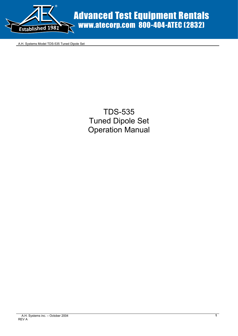

Advanced Test Equipment Rentals www.atecorp.com 800-404-ATEC (2832)

A.H. Systems Model TDS-535 Tuned Dipole Set

TDS-535 Tuned Dipole Set Operation Manual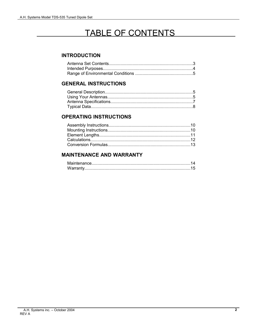## TABLE OF CONTENTS

#### **INTRODUCTION**

#### **GENERAL INSTRUCTIONS**

#### **OPERATING INSTRUCTIONS**

### **MAINTENANCE AND WARRANTY**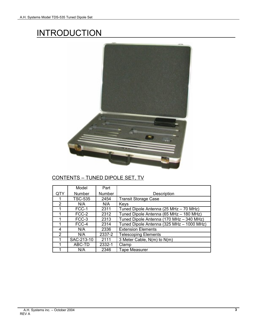# **INTRODUCTION**



### CONTENTS – TUNED DIPOLE SET, TV

|               | Model          | Part   |                                           |
|---------------|----------------|--------|-------------------------------------------|
| QTY           | Number         | Number | Description                               |
|               | <b>TSC-535</b> | 2454   | <b>Transit Storage Case</b>               |
| $\mathcal{P}$ | N/A            | N/A    | Keys                                      |
|               | FCC-1          | 2311   | Tuned Dipole Antenna (25 MHz - 70 MHz)    |
|               | FCC-2          | 2312   | Tuned Dipole Antenna (65 MHz - 180 MHz)   |
|               | FCC-3          | 2313   | Tuned Dipole Antenna (170 MHz - 340 MHz)  |
|               | FCC-4          | 2314   | Tuned Dipole Antenna (325 MHz - 1000 MHz) |
| 4             | N/A            | 2336   | <b>Extension Elements</b>                 |
| $\mathcal{P}$ | N/A            | 2337-2 | <b>Telescoping Elements</b>               |
|               | SAC-213-10     | 2111   | 3 Meter Cable, N(m) to N(m)               |
|               | ABC-TD         | 2332-1 | Clamp                                     |
|               | N/A            | 2346   | <b>Tape Measurer</b>                      |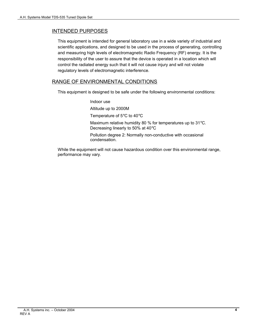#### INTENDED PURPOSES

This equipment is intended for general laboratory use in a wide variety of industrial and scientific applications, and designed to be used in the process of generating, controlling and measuring high levels of electromagnetic Radio Frequency (RF) energy. It is the responsibility of the user to assure that the device is operated in a location which will control the radiated energy such that it will not cause injury and will not violate regulatory levels of electromagnetic interference.

#### RANGE OF ENVIRONMENTAL CONDITIONS

condensation.

This equipment is designed to be safe under the following environmental conditions:

Indoor use Altitude up to 2000M Temperature of 5°C to 40°C Maximum relative humidity 80 % for temperatures up to 31°C. Decreasing linearly to 50% at 40°C Pollution degree 2: Normally non-conductive with occasional

While the equipment will not cause hazardous condition over this environmental range, performance may vary.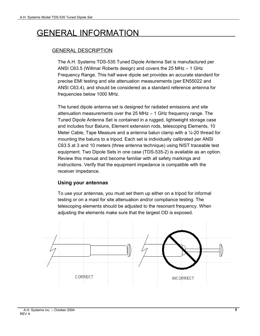# GENERAL INFORMATION

### GENERAL DESCRIPTION

The A.H. Systems TDS-535 Tuned Dipole Antenna Set is manufactured per ANSI C63.5 (Willmar Roberts design) and covers the 25 MHz – 1 GHz Frequency Range. This half wave dipole set provides an accurate standard for precise EMI testing and site attenuation measurements (per EN55022 and ANSI C63.4), and should be considered as a standard reference antenna for frequencies below 1000 MHz.

The tuned dipole antenna set is designed for radiated emissions and site attenuation measurements over the 25 MHz – 1 GHz frequency range. The Tuned Dipole Antenna Set is contained in a rugged, lightweight storage case and includes four Baluns, Element extension rods, telescoping Elements, 10 Meter Cable, Tape Measure and a antenna balun clamp with a 1/4-20 thread for mounting the baluns to a tripod. Each set is individually calibrated per ANSI C63.5 at 3 and 10 meters (three antenna technique) using NIST traceable test equipment. Two Dipole Sets in one case (TDS-535-2) is available as an option. Review this manual and become familiar with all safety markings and instructions. Verify that the equipment impedance is compatible with the receiver impedance.

#### **Using your antennas**

To use your antennas, you must set them up either on a tripod for informal testing or on a mast for site attenuation and/or compliance testing. The telescoping elements should be adjusted to the resonant frequency. When adjusting the elements make sure that the largest OD is exposed.

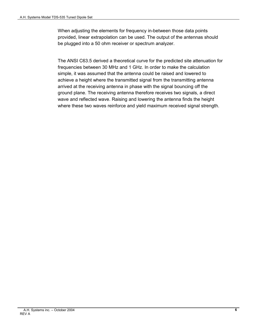When adjusting the elements for frequency in-between those data points provided, linear extrapolation can be used. The output of the antennas should be plugged into a 50 ohm receiver or spectrum analyzer.

The ANSI C63.5 derived a theoretical curve for the predicted site attenuation for frequencies between 30 MHz and 1 GHz. In order to make the calculation simple, it was assumed that the antenna could be raised and lowered to achieve a height where the transmitted signal from the transmitting antenna arrived at the receiving antenna in phase with the signal bouncing off the ground plane. The receiving antenna therefore receives two signals, a direct wave and reflected wave. Raising and lowering the antenna finds the height where these two waves reinforce and yield maximum received signal strength.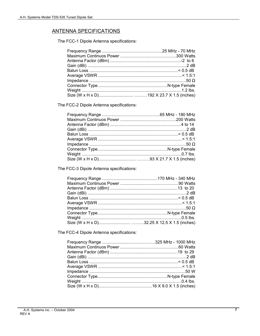### **ANTENNA SPECIFICATIONS**

The FCC-1 Dipole Antenna specifications:

The FCC-2 Dipole Antenna specifications:

The FCC-3 Dipole Antenna specifications:

The FCC-4 Dipole Antenna specifications: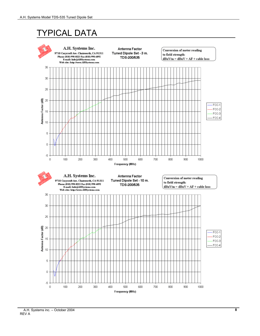# TYPICAL DATA



 A.H. Systems inc. – October 2004 REV A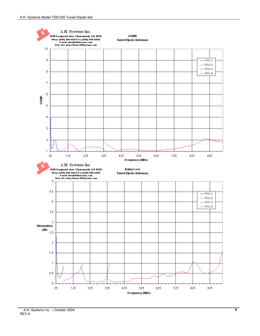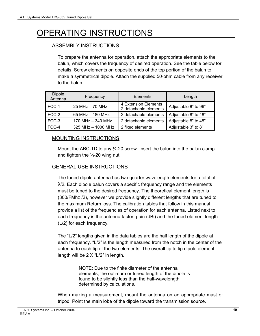# OPERATING INSTRUCTIONS

### ASSEMBLY INSTRUCTIONS

To prepare the antenna for operation, attach the appropriate elements to the balun, which covers the frequency of desired operation. See the table below for details. Screw elements on opposite ends of the top portion of the balun to make a symmetrical dipole. Attach the supplied 50-ohm cable from any receiver to the balun.

| <b>Dipole</b><br>Antenna | Frequency          | <b>Elements</b>                               | Length               |
|--------------------------|--------------------|-----------------------------------------------|----------------------|
| FCC-1                    | 25 MHz - 70 MHz    | 4 Extension Elements<br>2 detachable elements | Adjustable 8" to 96" |
| FCC-2                    | 65 MHz - 180 MHz   | 2 detachable elements                         | Adjustable 8" to 48" |
| FCC-3                    | 170 MHz - 340 MHz  | 2 detachable elements                         | Adjustable 8" to 48" |
| FCC-4                    | 325 MHz - 1000 MHz | 2 fixed elements                              | Adjustable 3" to 8"  |

### MOUNTING INSTRUCTIONS

Mount the ABC-TD to any 1/4-20 screw. Insert the balun into the balun clamp and tighten the  $\frac{1}{4}$ -20 wing nut.

#### GENERAL USE INSTRUCTIONS

The tuned dipole antenna has two quarter wavelength elements for a total of  $\lambda$ /2. Each dipole balun covers a specific frequency range and the elements must be tuned to the desired frequency. The theoretical element length is (300/FMhz /2), however we provide slightly different lengths that are tuned to the maximum Return loss. The calibration tables that follow in this manual provide a list of the frequencies of operation for each antenna. Listed next to each frequency is the antenna factor, gain (dBi) and the tuned element length (L/2) for each frequency.

The "L/2" lengths given in the data tables are the half length of the dipole at each frequency. "L/2" is the length measured from the notch in the center of the antenna to each tip of the two elements. The overall tip to tip dipole element length will be 2 X "L/2" in length.

> NOTE: Due to the finite diameter of the antenna elements, the optimum or tuned length of the dipole is found to be slightly less than the half-wavelength determined by calculations.

When making a measurement, mount the antenna on an appropriate mast or tripod. Point the main lobe of the dipole toward the transmission source.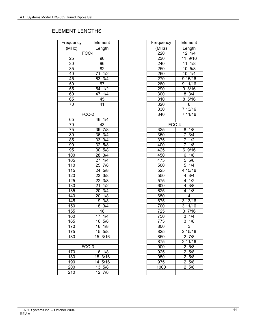### ELEMENT LENGTHS

| Frequency | Element              | Frequency | Elemen                |
|-----------|----------------------|-----------|-----------------------|
| (MHz)     | Length               | (MHz)     | Length                |
|           | <b>FCC-I</b>         | 220       | 12 1/4                |
| 25        | 96                   | 230       | 11 9/16               |
| 30        | 96                   | 240       | 11 1/8                |
| 35        | 82                   | 250       | 10.5/8                |
| 40        | 71 1/2               | 260       | 10 1/4                |
| 45        | 63 3/4               | 270       | 9 15/16               |
| 50        | 57                   | 280       | 9 11/16               |
| 55        | 54 1/2               | 290       | 93/16                 |
| 60        | 47 1/4               | 300       | $8 \frac{3}{4}$       |
| 65        | 45                   | 310       | 85/16                 |
| 70        | 41                   | 320       | 8                     |
|           |                      | 330       | 7 13/16               |
|           | FCC-2                | 340       | 7 11/16               |
| 65        | 46 1/4               |           |                       |
| 70        | 43                   | $FCC-4$   |                       |
| 75        | 39 7/8               | 325       | 1/8<br>8              |
| 80        | 36 3/4               | 350       | $\overline{7}$<br>3/4 |
| 85        | 33 3/4               | 375       | $\overline{7}$<br>1/2 |
| 90        | 32 5/8               | 400       | $\overline{7}$<br>1/8 |
| 95        | 30 5/8               | 425       | 6 9/16                |
| 100       | 28 3/4               | 450       | $6 \t1/8$             |
| 105       | 27 1/4               | 475       | $5\,5/8$              |
| 110       | 25 7/8               | 500       | $\overline{5}$ 1/4    |
| 115       | 24 5/8               | 525       | 4 15/16               |
| 120       | 23 3/8               | 550       | $4 \frac{3}{4}$       |
| 125       | 22 3/8               | 575       | 41/2                  |
| 130       | 21 1/2               | 600       | $\frac{1}{4}$ 3/8     |
| 135       | 20 3/4               | 625       | 4 1/8                 |
| 140       | 20 1/8               | 650       | 4                     |
| 145       | 19 3/8               | 675       | 3 13/16               |
| 150       | 18 3/4               | 700       | 3 1 1 / 1 6           |
| 155       | 18                   | 725       | 3 7/16                |
| 160       | 17 1/4               | 750       | $3 \t1/4$             |
| 165       | 16 5/8               | 775       | $\overline{3}$<br>1/8 |
| 170       | 16 1/8               | 800       | $\overline{3}$        |
| 175       | 15 5/8               | 825       | 2 15/16               |
| 180       | 15 3/16              | 850       | 2 7/8                 |
|           |                      | 875       | 2 11/16               |
|           | FCC-3                | 900       | $2\,5/8$              |
| 170       | 16 1/8               | 925       | 25/8                  |
| 180       | 15 3/16              | 950       | 25/8                  |
| 190       | $\overline{14}$ 5/16 | 975       | 25/8                  |
| 200       | $13 \, 5/8$          | 1000      | $2\,5/8$              |
| 210       | 12 7/8               |           |                       |

| quency | Element              | Frequency | Element               |  |
|--------|----------------------|-----------|-----------------------|--|
| MHz)   | Length               | (MHz)     | Length                |  |
|        | FCC-I                | 220       | 12 1/4                |  |
| 25     | 96                   | 230       | 9/16<br>11            |  |
| 30     | 96                   | 240       | 1/8<br>11             |  |
| 35     | 82                   | 250       | $10$ 5/8              |  |
| 40     | 71 1/2               | 260       | 10 1/4                |  |
| 45     | 63 3/4               | 270       | 9 15/16               |  |
| 50     | 57                   | 280       | 9 11/16               |  |
| 55     | 54 1/2               | 290       | 93/16                 |  |
| 60     | 47 1/4               | 300       | $8 \frac{3}{4}$       |  |
| 65     | 45                   | 310       | 8 5/16                |  |
| 70     | 41                   | 320       | 8                     |  |
|        |                      | 330       | 7 13/16               |  |
|        | FCC-2                | 340       | 7 11/16               |  |
| 65     | 1/4<br>46            |           |                       |  |
| 70     | 43                   | FCC-4     |                       |  |
| 75     | 39 7/8               | 325       | 1/8<br>8              |  |
| 80     | 3/4<br>36            | 350       | $\overline{7}$<br>3/4 |  |
| 85     | 33<br>3/4            | 375       | 1/2<br>$\overline{7}$ |  |
| 90     | 5/8<br>32            | 400       | $\overline{7}$<br>1/8 |  |
| 95     | 5/8<br>30            | 425       | 9/16<br>6             |  |
| 100    | 3/4<br>28            | 450       | 1/8<br>6              |  |
| 105    | 1/4<br>27            | 475       | 5<br>5/8              |  |
| 110    | 7/8<br>25            | 500       | 5<br>1/4              |  |
| 115    | 5/8<br>24            | 525       | 4 15/16               |  |
| 120    | 3/8<br>23            | 550       | 3/4<br>4              |  |
| 125    | 3/8<br>22            | 575       | 1/2<br>$\overline{4}$ |  |
| 130    | 1/2<br>21            | 600       | $\overline{4}$<br>3/8 |  |
| 135    | 3/4<br>20            | 625       | 4<br>1/8              |  |
| 140    | 1/8<br>20            | 650       | 4                     |  |
| 145    | 3/8<br>19            | 675       | 3 13/16               |  |
| 150    | 3/4<br>18            | 700       | 3 11/16               |  |
| 155    | 18                   | 725       | 3<br>7/16             |  |
| 160    | 1/4<br>17            | 750       | $\overline{3}$<br>1/4 |  |
| 165    | 5/8<br>16            | 775       | $\overline{3}$<br>1/8 |  |
| 170    | 1/8<br>16            | 800       | 3                     |  |
| 175    | 15 5/8               | 825       | 2 15/16               |  |
| 180    | 15 3/16              | 850       | 27/8                  |  |
|        |                      | 875       | 2 11/16               |  |
|        | $FCC-3$              | 900       | 25/8                  |  |
| 170    | 1/8<br>16            | 925       | $\overline{2}$ 5/8    |  |
| 180    | 3/16<br>15           | 950       | 25/8                  |  |
| 190    | $\overline{14}$ 5/16 | 975       | 25/8                  |  |
| 200    | 13 5/8               | 1000      | 25/8                  |  |
| 210    | 12 7/8               |           |                       |  |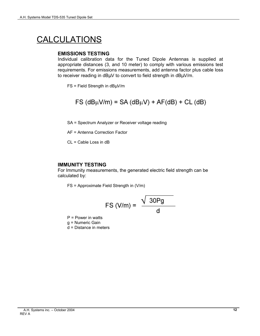# CALCULATIONS

#### **EMISSIONS TESTING**

Individual calibration data for the Tuned Dipole Antennas is supplied at appropriate distances (3, and 10 meter) to comply with various emissions test requirements. For emissions measurements, add antenna factor plus cable loss to receiver reading in dBµV to convert to field strength in dBµV/m.

 $FS$  = Field Strength in dB $\mu$ V/m

$$
FS (dBµV/m) = SA (dBµV) + AF(dB) + CL (dB)
$$

SA = Spectrum Analyzer or Receiver voltage reading

AF = Antenna Correction Factor

CL = Cable Loss in dB

#### **IMMUNITY TESTING**

For Immunity measurements, the generated electric field strength can be calculated by:

FS = Approximate Field Strength in (V/m)

$$
\mathsf{FS}\left(\mathsf{V/m}\right) = \frac{\sqrt{30\mathsf{Pg}}}{\mathsf{d}}
$$

 $P = Power$  in watts g = Numeric Gain

d = Distance in meters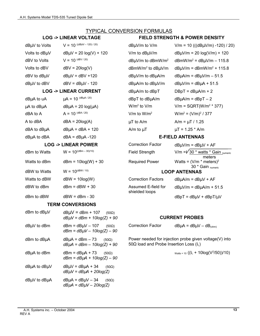#### TYPICAL CONVERSION FORMULAS

| dBµV to Volts | $V = 10$ ((dBµV – 120) / 20)    | dBµV/m to V/m                      | $V/m = 10$          |
|---------------|---------------------------------|------------------------------------|---------------------|
| Volts to dBµV | $dB\mu V = 20 log(V) + 120$     | V/m to dBµV/m                      | $dB\mu V/m =$       |
| dBV to Volts  | $V = 10^{(dBV / 20)}$           | $dB\mu V/m$ to dBmW/m <sup>2</sup> | dBmW/m <sup>2</sup> |
| Volts to dBV  | $dBV = 20log(V)$                | $dBmW/m2$ to $dB\mu V/m$           | $dB\mu V/m =$       |
| dBV to dBµV   | $dB\mu V = dBV + 120$           | $dB\mu V/m$ to $dB\mu A/m$         | $dB\mu A/m =$       |
| dBµV to dBV   | $dBV = dB\mu V - 120$           | dBµA/m to dBµV/m                   | $dB\mu V/m =$       |
|               | <b>LOG -&gt; LINEAR CURRENT</b> | dBµA/m to dBpT                     | $DBpT = dl$         |
|               |                                 |                                    |                     |

| <b>ABUA to UA</b>     | $\mu$ A = 10 (Separate)   | abp to abuA/m   | $d$ BuA/M = $d$ Bp I    |
|-----------------------|---------------------------|-----------------|-------------------------|
| $\mu$ A to dB $\mu$ A | $dB\mu A = 20 log(\mu A)$ | $W/m2$ to $V/m$ | $V/m = SQRT(W)$         |
| dBA to A              | $A = 10^{(dBA / 20)}$     | V/m to $W/m^2$  | $W/m^2 = (V/m)^2 /$     |
| A to dBA              | $dBA = 20log(A)$          | $\mu T$ to A/m  | $A/m = \mu T / 1.25$    |
| dBA to dBµA           | $dB\mu A = dBA + 120$     | A/m to $\mu$ T  | $\mu$ T = 1.25 * A/m    |
| dBuA to dBA           | $dBA = dB\mu A - 120$     |                 | <b>E-FIELD ANTENNAS</b> |
|                       |                           |                 |                         |

#### **LOG -> LINEAR POWER**

| dBm to Watts | $W = 10^{((dBm - 30)/10)}$ | <b>Field Strength</b>                 | V/m = $\sqrt{30}$ * watts * Gain |
|--------------|----------------------------|---------------------------------------|----------------------------------|
|              |                            |                                       | meters                           |
| Watts to dBm | $dBm = 10log(W) + 30$      | <b>Required Power</b>                 | Watts = $(V/m * meters)^2$       |
|              |                            |                                       | 30 * Gain numeric                |
| dBW to Watts | $W = 10^{(dBW / 10)}$      |                                       | <b>LOOP ANTENNAS</b>             |
| Watts to dBW | $dBW = 10log(W)$           | <b>Correction Factors</b>             | $dB\mu A/m = dB\mu V + AF$       |
| dBW to dBm   | $dBm = dBW + 30$           | Assumed E-field for<br>shielded loops | $dB\mu V/m = dB\mu A/m + 51.5$   |
| dBm to dBW   | $dBW = dBm - 30$           |                                       | $dBpT = dB\mu V + dBpT/\mu V$    |

#### **TERM CONVERSIONS**

| $d$ Bm to $d$ B $\mu$ V | $dB\mu V = dBm + 107$ (50Ω)<br>$dB\mu V = dBm + 10log(Z) + 90$             |
|-------------------------|----------------------------------------------------------------------------|
| dBµV to dBm             | $dBm = dB\mu V - 107$ (50Ω)<br>$dBm = dB\mu V - 10log(Z) - 90$             |
| dBm to dBµA             | $dB\mu A = dBm - 73$ (50Ω)<br>$dB\mu A = dBm - 10log(Z) + 90$              |
| dBµA to dBm             | $dBm = dB\mu A + 73$ (50Ω)<br>$dBm = dB\mu A + 10log(Z) - 90$              |
| dBµA to dBµV            | $dB\mu V = dB\mu A + 34$ (50Ω)<br>$dB\mu V = dB\mu A + 20log(Z)$           |
| dBµV to dBµA            | $dB\mu A = dB\mu V - 34$<br>$(50\Omega)$<br>$dB\mu A = dB\mu V - 20log(Z)$ |

#### **LOG -> LINEAR VOLTAGE FIELD STRENGTH & POWER DENSITY**

| dBµV to Volts | $V = 10$ ((dBµV – 120) / 20)    | $d$ B $\mu$ V/m to V/m                    | $V/m = 10 ((dB\muV/m) - 120) / 20)$              |
|---------------|---------------------------------|-------------------------------------------|--------------------------------------------------|
| Volts to dBµV | $dB\mu V = 20 log(V) + 120$     | $V/m$ to dB $\mu$ V/m                     | $dB\mu V/m = 20 log(V/m) + 120$                  |
| dBV to Volts  | $V = 10^{(dBV / 20)}$           | $dB\mu V/m$ to dBmW/m <sup>2</sup>        | $d$ BmW/m <sup>2</sup> = $d$ B $\mu$ V/m – 115.8 |
| Volts to dBV  | $dBV = 20log(V)$                | $d$ BmW/m <sup>2</sup> to $d$ B $\mu$ V/m | $dB\mu V/m = dBmW/m^2 + 115.8$                   |
| dBV to dBµV   | $dB\mu V = dBV + 120$           | $dB\mu V/m$ to $dB\mu A/m$                | $dB\mu A/m = dB\mu V/m - 51.5$                   |
| dBµV to dBV   | $dBV = dB\mu V - 120$           | $dB\mu A/m$ to $dB\mu V/m$                | $dB\mu V/m = dB\mu A + 51.5$                     |
|               | <b>LOG -&gt; LINEAR CURRENT</b> | dBµA/m to dBpT                            | $DBpT = dB\mu A/m + 2$                           |
| dBµA to uA    | $\mu A = 10^{(dB\mu A / 20)}$   | dBpT to dBµA/m                            | $dB\mu A/m = dBpT - 2$                           |
| μA to dBμA    | $dB\mu A = 20 log(\mu A)$       | $W/m2$ to $V/m$                           | $V/m = SQRT(W/m2 * 377)$                         |
| dBA to A      | $A = 10^{(dBA / 20)}$           | V/m to $W/m^2$                            | $W/m^2 = (V/m)^2 / 377$                          |
| A to dBA      | $dBA = 20log(A)$                | $\mu T$ to A/m                            | A/m = $\mu$ T / 1.25                             |
| dBA to dBµA   | $dB\mu A = dBA + 120$           | A/m to $\mu$ T                            | $\mu$ T = 1.25 * A/m                             |

#### **E-FIELD ANTENNAS**

| <b>LOG -&gt; LINEAR POWER</b> |                            | <b>Correction Factor</b> | $dB\mu V/m = dB\mu V + AF$                                           |
|-------------------------------|----------------------------|--------------------------|----------------------------------------------------------------------|
| dBm to Watts                  | $W = 10^{((dBm - 30)/10)}$ | Field Strength           | V/m = $\sqrt{30}$ * watts * Gain numeric                             |
| Watts to dBm                  | $dBm = 10log(W) + 30$      | <b>Required Power</b>    | meters<br>Watts = $(V/m * meters)^2$<br>30 * Gain <sub>numeric</sub> |
| dBW to Watts                  | $W = 10^{(dBW / 10)}$      |                          | <b>LOOP ANTENNAS</b>                                                 |

#### *dB*µ*V = dBm + 10log(Z) + 90* **CURRENT PROBES**

Correction Factor  $dB\mu A = dB\mu V - dB_{(ohm)}$ 

Power needed for injection probe given voltage(V) into 50Ω load and Probe Insertion Loss (IL)

 $\text{Watts} = 10 ((I<sub>L</sub> + 10 log(V<sup>2</sup>/50))/10)$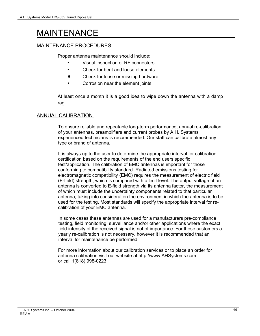# MAINTENANCE

### MAINTENANCE PROCEDURES

Proper antenna maintenance should include:

- Visual inspection of RF connectors
- Check for bent and loose elements
- ♦ Check for loose or missing hardware
- Corrosion near the element joints

At least once a month it is a good idea to wipe down the antenna with a damp rag.

### ANNUAL CALIBRATION

To ensure reliable and repeatable long-term performance, annual re-calibration of your antennas, preamplifiers and current probes by A.H. Systems experienced technicians is recommended. Our staff can calibrate almost any type or brand of antenna.

It is always up to the user to determine the appropriate interval for calibration certification based on the requirements of the end users specific test/application. The calibration of EMC antennas is important for those conforming to compatibility standard. Radiated emissions testing for electromagnetic compatibility (EMC) requires the measurement of electric field (E-field) strength, which is compared with a limit level. The output voltage of an antenna is converted to E-field strength via its antenna factor, the measurement of which must include the uncertainty components related to that particular antenna, taking into consideration the environment in which the antenna is to be used for the testing. Most standards will specify the appropriate interval for recalibration of your EMC antenna.

In some cases these antennas are used for a manufacturers pre-compliance testing, field monitoring, surveillance and/or other applications where the exact field intensity of the received signal is not of importance. For those customers a yearly re-calibration is not necessary, however it is recommended that an interval for maintenance be performed.

For more information about our calibration services or to place an order for antenna calibration visit our website at http://www.AHSystems.com or call 1(818) 998-0223.